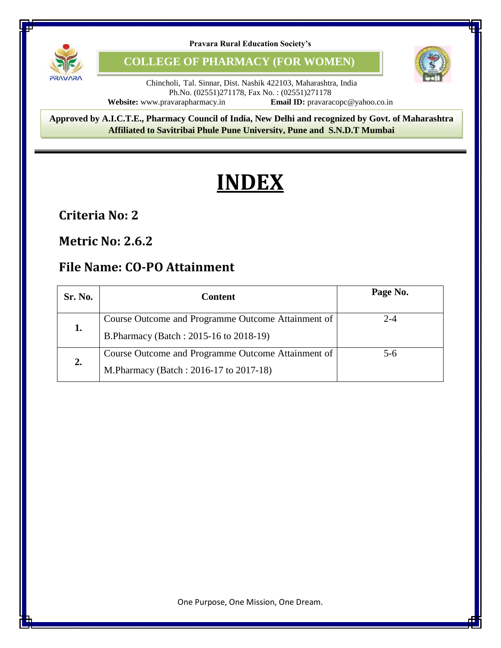

**COLLEGE OF PHARMACY (FOR WOMEN)**



Chincholi, Tal. Sinnar, Dist. Nashik 422103, Maharashtra, India Ph.No. (02551)271178, Fax No. : (02551)271178<br>avarapharmacy.in **Email ID:** pravaracopc@yahoo.co.in **Website:** www.pravarapharmacy.in

8 **Approved by A.I.C.T.E., Pharmacy Council of India, New Delhi and recognized by Govt. of Maharashtra Affiliated to Savitribai Phule Pune University, Pune and S.N.D.T Mumbai**

# **INDEX**

### **Criteria No: 2**

#### **Metric No: 2.6.2**

## **File Name: CO-PO Attainment**

| Sr. No. | <b>Content</b>                                                                                | Page No. |
|---------|-----------------------------------------------------------------------------------------------|----------|
| 1.      | Course Outcome and Programme Outcome Attainment of<br>B. Pharmacy (Batch: 2015-16 to 2018-19) | $2 - 4$  |
| 2.      | Course Outcome and Programme Outcome Attainment of<br>M.Pharmacy (Batch: 2016-17 to 2017-18)  | $5-6$    |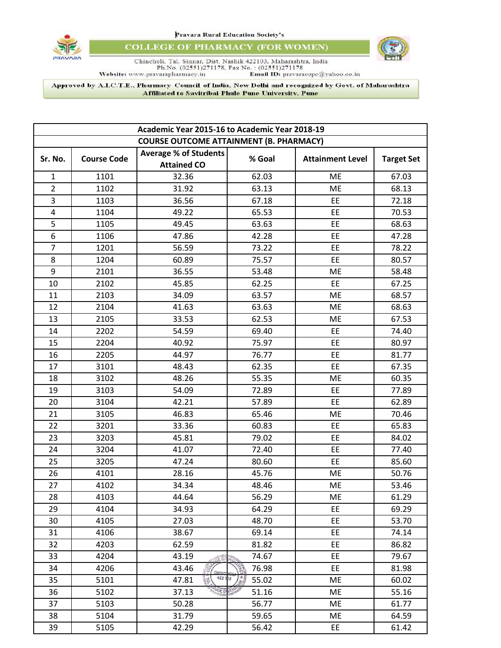



**COLLEGE OF PHARMACY (FOR WOMEN)** 



 $\begin{minipage}[t]{.45\textwidth} \begin{minipage}[t]{.45\textwidth} \begin{minipage}[t]{.45\textwidth} \begin{minipage}[t]{.45\textwidth} \begin{minipage}[t]{.45\textwidth} \begin{minipage}[t]{.45\textwidth} \begin{minipage}[t]{.45\textwidth} \begin{minipage}[t]{.45\textwidth} \begin{minipage}[t]{.45\textwidth} \begin{minipage}[t]{.45\textwidth} \begin{minipage}[t]{.45\textwidth} \begin{minipage}[t]{.45\textwidth} \begin{minipage}[t]{.45\textwidth} \begin{minipage}[t]{.45$ 

Approved by A.I.C.T.E., Pharmacy Council of India, New Delhi and recognized by Govt. of Maharashtra Affiliated to Savitribai Phule Pune University, Pune

| Academic Year 2015-16 to Academic Year 2018-19 |      |                              |        |                         |                   |
|------------------------------------------------|------|------------------------------|--------|-------------------------|-------------------|
| <b>COURSE OUTCOME ATTAINMENT (B. PHARMACY)</b> |      |                              |        |                         |                   |
| <b>Course Code</b><br>Sr. No.                  |      | <b>Average % of Students</b> | % Goal | <b>Attainment Level</b> | <b>Target Set</b> |
|                                                |      | <b>Attained CO</b>           |        |                         |                   |
| $\mathbf{1}$                                   | 1101 | 32.36                        | 62.03  | ME                      | 67.03             |
| $\overline{2}$                                 | 1102 | 31.92                        | 63.13  | ME                      | 68.13             |
| 3                                              | 1103 | 36.56                        | 67.18  | EE                      | 72.18             |
| $\overline{4}$                                 | 1104 | 49.22                        | 65.53  | EE                      | 70.53             |
| 5                                              | 1105 | 49.45                        | 63.63  | EE                      | 68.63             |
| 6                                              | 1106 | 47.86                        | 42.28  | EE                      | 47.28             |
| $\overline{7}$                                 | 1201 | 56.59                        | 73.22  | EE                      | 78.22             |
| 8                                              | 1204 | 60.89                        | 75.57  | EE                      | 80.57             |
| 9                                              | 2101 | 36.55                        | 53.48  | ME                      | 58.48             |
| 10                                             | 2102 | 45.85                        | 62.25  | <b>EE</b>               | 67.25             |
| 11                                             | 2103 | 34.09                        | 63.57  | ME                      | 68.57             |
| 12                                             | 2104 | 41.63                        | 63.63  | ME                      | 68.63             |
| 13                                             | 2105 | 33.53                        | 62.53  | <b>ME</b>               | 67.53             |
| 14                                             | 2202 | 54.59                        | 69.40  | EE                      | 74.40             |
| 15                                             | 2204 | 40.92                        | 75.97  | EE                      | 80.97             |
| 16                                             | 2205 | 44.97                        | 76.77  | EE                      | 81.77             |
| 17                                             | 3101 | 48.43                        | 62.35  | EE                      | 67.35             |
| 18                                             | 3102 | 48.26                        | 55.35  | ME                      | 60.35             |
| 19                                             | 3103 | 54.09                        | 72.89  | EE                      | 77.89             |
| 20                                             | 3104 | 42.21                        | 57.89  | EE                      | 62.89             |
| 21                                             | 3105 | 46.83                        | 65.46  | ME                      | 70.46             |
| 22                                             | 3201 | 33.36                        | 60.83  | <b>EE</b>               | 65.83             |
| 23                                             | 3203 | 45.81                        | 79.02  | EE                      | 84.02             |
| 24                                             | 3204 | 41.07                        | 72.40  | EE                      | 77.40             |
| 25                                             | 3205 | 47.24                        | 80.60  | EE                      | 85.60             |
| 26                                             | 4101 | 28.16                        | 45.76  | ME                      | 50.76             |
| 27                                             | 4102 | 34.34                        | 48.46  | ME                      | 53.46             |
| 28                                             | 4103 | 44.64                        | 56.29  | ME                      | 61.29             |
| 29                                             | 4104 | 34.93                        | 64.29  | EE                      | 69.29             |
| 30                                             | 4105 | 27.03                        | 48.70  | EE                      | 53.70             |
| 31                                             | 4106 | 38.67                        | 69.14  | EE                      | 74.14             |
| 32                                             | 4203 | 62.59                        | 81.82  | EE                      | 86.82             |
| 33                                             | 4204 | 43.19                        | 74.67  | EE                      | 79.67             |
| 34                                             | 4206 | 43.46                        | 76.98  | <b>EE</b>               | 81.98             |
| 35                                             | 5101 | 422 102<br>ķ.<br>47.81       | 55.02  | ME                      | 60.02             |
| 36                                             | 5102 | <b>ARD</b><br>37.13          | 51.16  | ME                      | 55.16             |
| 37                                             | 5103 | 50.28                        | 56.77  | ME                      | 61.77             |
| 38                                             | 5104 | 31.79                        | 59.65  | ME                      | 64.59             |
| 39                                             | 5105 | 42.29                        | 56.42  | EE                      | 61.42             |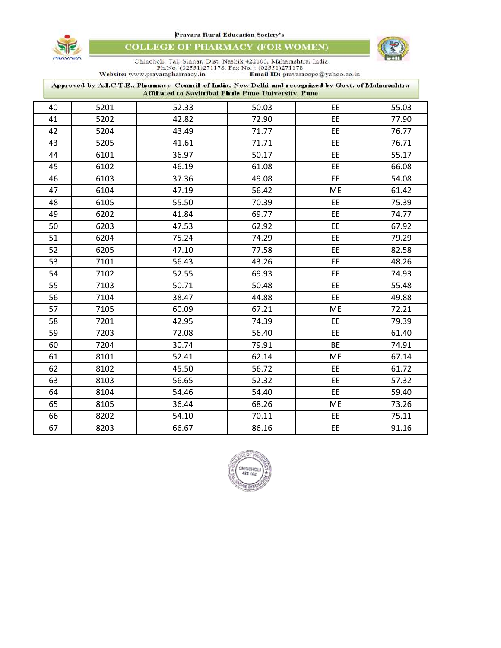

**COLLEGE OF PHARMACY (FOR WOMEN)** 



 $\begin{tabular}{c c c c} \multicolumn{2}{c}{\textbf{Chincholi, Tal, Sinnar, Dist. Nashik 422103, Maharashtra, India}}\\ \multicolumn{2}{c}{\textbf{Ph.No. (02551)271178, Fax No. : (02551)271178}}\\ \multicolumn{2}{c}{\textbf{Website: www.pravarapharmacy.in}} & \textbf{Emall ID: pravaraeope@yahoo.co.in} \end{tabular}$ 

| Approved by A.I.C.T.E., Pharmacy Council of India, New Delhi and recognized by Govt. of Maharashtra<br>Affiliated to Savitribai Phule Pune University, Pune |      |       |       |           |       |
|-------------------------------------------------------------------------------------------------------------------------------------------------------------|------|-------|-------|-----------|-------|
| 40                                                                                                                                                          | 5201 | 52.33 | 50.03 | EE        | 55.03 |
| 41                                                                                                                                                          | 5202 | 42.82 | 72.90 | EE        | 77.90 |
| 42                                                                                                                                                          | 5204 | 43.49 | 71.77 | EE        | 76.77 |
| 43                                                                                                                                                          | 5205 | 41.61 | 71.71 | EE        | 76.71 |
| 44                                                                                                                                                          | 6101 | 36.97 | 50.17 | EE        | 55.17 |
| 45                                                                                                                                                          | 6102 | 46.19 | 61.08 | EE        | 66.08 |
| 46                                                                                                                                                          | 6103 | 37.36 | 49.08 | EE        | 54.08 |
| 47                                                                                                                                                          | 6104 | 47.19 | 56.42 | ME        | 61.42 |
| 48                                                                                                                                                          | 6105 | 55.50 | 70.39 | EE        | 75.39 |
| 49                                                                                                                                                          | 6202 | 41.84 | 69.77 | EE        | 74.77 |
| 50                                                                                                                                                          | 6203 | 47.53 | 62.92 | EE        | 67.92 |
| 51                                                                                                                                                          | 6204 | 75.24 | 74.29 | EE        | 79.29 |
| 52                                                                                                                                                          | 6205 | 47.10 | 77.58 | EE        | 82.58 |
| 53                                                                                                                                                          | 7101 | 56.43 | 43.26 | EE        | 48.26 |
| 54                                                                                                                                                          | 7102 | 52.55 | 69.93 | EE        | 74.93 |
| 55                                                                                                                                                          | 7103 | 50.71 | 50.48 | EE        | 55.48 |
| 56                                                                                                                                                          | 7104 | 38.47 | 44.88 | EE        | 49.88 |
| 57                                                                                                                                                          | 7105 | 60.09 | 67.21 | ME        | 72.21 |
| 58                                                                                                                                                          | 7201 | 42.95 | 74.39 | EE        | 79.39 |
| 59                                                                                                                                                          | 7203 | 72.08 | 56.40 | EE        | 61.40 |
| 60                                                                                                                                                          | 7204 | 30.74 | 79.91 | <b>BE</b> | 74.91 |
| 61                                                                                                                                                          | 8101 | 52.41 | 62.14 | ME        | 67.14 |
| 62                                                                                                                                                          | 8102 | 45.50 | 56.72 | EE        | 61.72 |
| 63                                                                                                                                                          | 8103 | 56.65 | 52.32 | EE        | 57.32 |
| 64                                                                                                                                                          | 8104 | 54.46 | 54.40 | EE        | 59.40 |
| 65                                                                                                                                                          | 8105 | 36.44 | 68.26 | ME        | 73.26 |
| 66                                                                                                                                                          | 8202 | 54.10 | 70.11 | EE        | 75.11 |
| 67                                                                                                                                                          | 8203 | 66.67 | 86.16 | EE        | 91.16 |

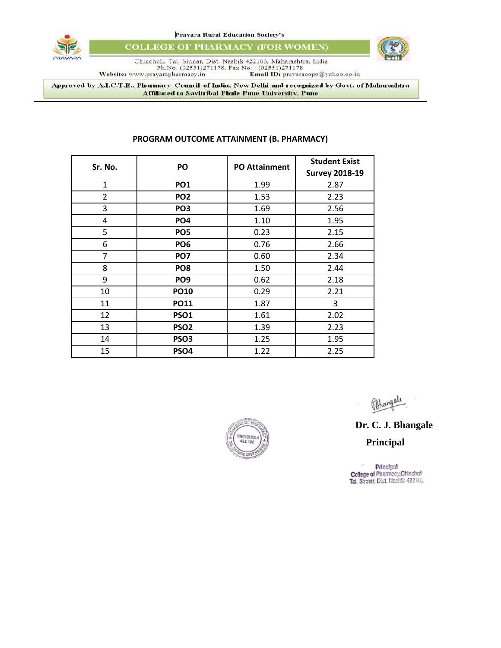



**COLLEGE OF PHARMACY (FOR WOMEN)** 



 $\begin{minipage}[t]{.45\textwidth} \begin{minipage}[t]{.45\textwidth} \begin{minipage}[t]{.45\textwidth} \begin{minipage}[t]{.45\textwidth} \begin{minipage}[t]{.45\textwidth} \begin{minipage}[t]{.45\textwidth} \begin{minipage}[t]{.45\textwidth} \begin{minipage}[t]{.45\textwidth} \begin{minipage}[t]{.45\textwidth} \begin{minipage}[t]{.45\textwidth} \begin{minipage}[t]{.45\textwidth} \begin{minipage}[t]{.45\textwidth} \begin{minipage}[t]{.45\textwidth} \begin{minipage}[t]{.45$ 

Approved by A.I.C.T.E., Pharmacy Council of India, New Delhi and recognized by Govt. of Maharashtra Affiliated to Savitribai Phule Pune University, Pune

| Sr. No.        | PO               | <b>PO Attainment</b> | <b>Student Exist</b><br><b>Survey 2018-19</b> |
|----------------|------------------|----------------------|-----------------------------------------------|
| $\mathbf{1}$   | <b>PO1</b>       | 1.99                 | 2.87                                          |
| $\overline{2}$ | PO <sub>2</sub>  | 1.53                 | 2.23                                          |
| 3              | PO <sub>3</sub>  | 1.69                 | 2.56                                          |
| 4              | PO <sub>4</sub>  | 1.10                 | 1.95                                          |
| 5              | PO <sub>5</sub>  | 0.23                 | 2.15                                          |
| 6              | PO <sub>6</sub>  | 0.76                 | 2.66                                          |
| $\overline{7}$ | PO <sub>7</sub>  | 0.60                 | 2.34                                          |
| 8              | PO <sub>8</sub>  | 1.50                 | 2.44                                          |
| 9              | PO <sub>9</sub>  | 0.62                 | 2.18                                          |
| 10             | <b>PO10</b>      | 0.29                 | 2.21                                          |
| 11             | <b>PO11</b>      | 1.87                 | 3                                             |
| 12             | <b>PSO1</b>      | 1.61                 | 2.02                                          |
| 13             | PSO <sub>2</sub> | 1.39                 | 2.23                                          |
| 14             | PSO <sub>3</sub> | 1.25                 | 1.95                                          |
| 15             | PSO4             | 1.22                 | 2.25                                          |

#### **PROGRAM OUTCOME ATTAINMENT (B. PHARMACY)**



// B4

#### **Dr. C. J. Bhangale**

 $\limsup_{42z \to 0} \frac{1}{z}$  **Principal** 

Principal<br>College of Pharmacy, Chinchofi<br>Tal. Shmar, Dist. Nashik 422102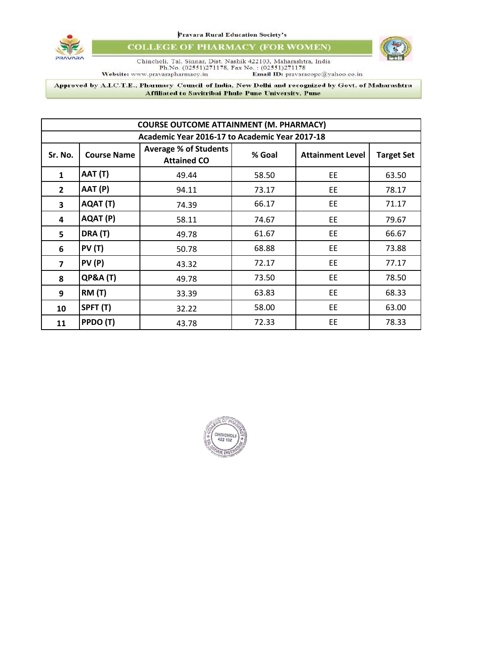

**COLLEGE OF PHARMACY (FOR WOMEN)** 



 $\begin{minipage}{0.9\textwidth} \begin{minipage}{0.9\textwidth} \begin{tabular}{p{0.8cm}} \textbf{Chineholi, Tal, Sinnar, Dist, Nashik 422103, Maharashtra, India \end{tabular} \end{minipage} \begin{minipage}{0.9\textwidth} \begin{minipage}{0.9\textwidth} \begin{tabular}{p{0.8cm}} \textbf{Ph.No.} \end{tabular} \end{minipage} \begin{minipage}{0.9\textwidth} \begin{tabular}{p{0.8cm}} \textbf{Chineboli, Ta.} \end{tabular} \end{minipage} \begin{minipage}{0.9\textwidth} \begin{tabular$ 

Approved by A.I.C.T.E., Pharmacy Council of India, New Delhi and recognized by Govt. of Maharashtra Affiliated to Savitribai Phule Pune University, Pune

| <b>COURSE OUTCOME ATTAINMENT (M. PHARMACY)</b> |                     |                                                    |        |                         |                   |
|------------------------------------------------|---------------------|----------------------------------------------------|--------|-------------------------|-------------------|
| Academic Year 2016-17 to Academic Year 2017-18 |                     |                                                    |        |                         |                   |
| Sr. No.                                        | <b>Course Name</b>  | <b>Average % of Students</b><br><b>Attained CO</b> | % Goal | <b>Attainment Level</b> | <b>Target Set</b> |
| $\mathbf{1}$                                   | AAT (T)             | 49.44                                              | 58.50  | <b>EE</b>               | 63.50             |
| $\mathbf{2}$                                   | AAT (P)             | 94.11                                              | 73.17  | EE                      | 78.17             |
| 3                                              | AQAT (T)            | 74.39                                              | 66.17  | <b>EE</b>               | 71.17             |
| 4                                              | AQAT (P)            | 58.11                                              | 74.67  | EE                      | 79.67             |
| 5                                              | DRA (T)             | 49.78                                              | 61.67  | EE                      | 66.67             |
| 6                                              | <b>PV (T)</b>       | 50.78                                              | 68.88  | EE                      | 73.88             |
| $\overline{7}$                                 | PV(P)               | 43.32                                              | 72.17  | <b>EE</b>               | 77.17             |
| 8                                              | <b>QP&amp;A (T)</b> | 49.78                                              | 73.50  | <b>EE</b>               | 78.50             |
| 9                                              | <b>RM (T)</b>       | 33.39                                              | 63.83  | EE                      | 68.33             |
| 10                                             | SPFT (T)            | 32.22                                              | 58.00  | EE                      | 63.00             |
| 11                                             | PPDO (T)            | 43.78                                              | 72.33  | EE                      | 78.33             |